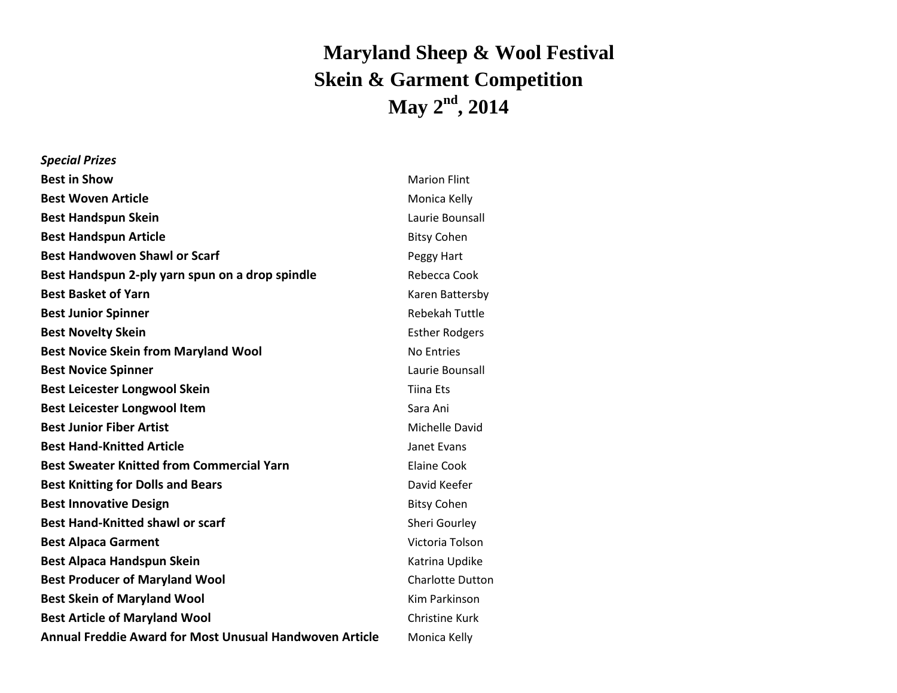## **Maryland Sheep & Wool Festival Skein & Garment Competition May 2 nd , 2014**

| <b>Special Prizes</b>                                          |                         |
|----------------------------------------------------------------|-------------------------|
| <b>Best in Show</b>                                            | <b>Marion Flint</b>     |
| <b>Best Woven Article</b>                                      | Monica Kelly            |
| <b>Best Handspun Skein</b>                                     | Laurie Bounsall         |
| <b>Best Handspun Article</b>                                   | <b>Bitsy Cohen</b>      |
| <b>Best Handwoven Shawl or Scarf</b>                           | Peggy Hart              |
| Best Handspun 2-ply yarn spun on a drop spindle                | Rebecca Cook            |
| <b>Best Basket of Yarn</b>                                     | Karen Battersby         |
| <b>Best Junior Spinner</b>                                     | <b>Rebekah Tuttle</b>   |
| <b>Best Novelty Skein</b>                                      | <b>Esther Rodgers</b>   |
| <b>Best Novice Skein from Maryland Wool</b>                    | <b>No Entries</b>       |
| <b>Best Novice Spinner</b>                                     | Laurie Bounsall         |
| <b>Best Leicester Longwool Skein</b>                           | <b>Tiina Ets</b>        |
| <b>Best Leicester Longwool Item</b>                            | Sara Ani                |
| <b>Best Junior Fiber Artist</b>                                | <b>Michelle David</b>   |
| <b>Best Hand-Knitted Article</b>                               | Janet Evans             |
| <b>Best Sweater Knitted from Commercial Yarn</b>               | <b>Elaine Cook</b>      |
| <b>Best Knitting for Dolls and Bears</b>                       | David Keefer            |
| <b>Best Innovative Design</b>                                  | <b>Bitsy Cohen</b>      |
| <b>Best Hand-Knitted shawl or scarf</b>                        | Sheri Gourley           |
| <b>Best Alpaca Garment</b>                                     | Victoria Tolson         |
| Best Alpaca Handspun Skein                                     | Katrina Updike          |
| <b>Best Producer of Maryland Wool</b>                          | <b>Charlotte Dutton</b> |
| <b>Best Skein of Maryland Wool</b>                             | <b>Kim Parkinson</b>    |
| <b>Best Article of Maryland Wool</b>                           | <b>Christine Kurk</b>   |
| <b>Annual Freddie Award for Most Unusual Handwoven Article</b> | Monica Kelly            |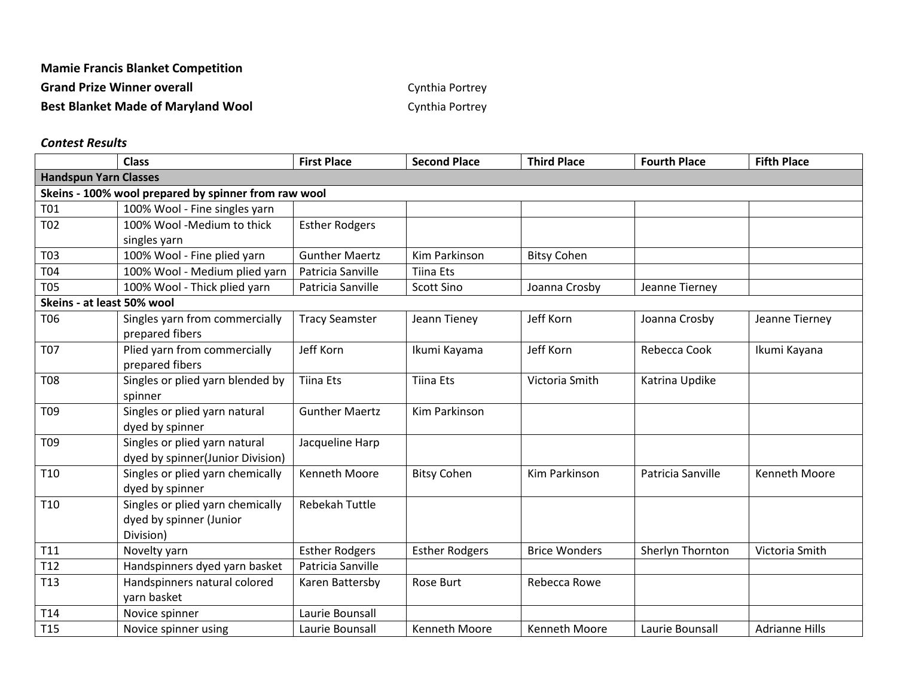## **Mamie Francis Blanket Competition**

Grand Prize Winner overall **Grand Prize Winner overall Cynthia Portrey** 

**Best Blanket Made of Maryland Wool Cynthia Portrey** 

## *Contest Results*

|                                                      | <b>Class</b>                     | <b>First Place</b>    | <b>Second Place</b>   | <b>Third Place</b>   | <b>Fourth Place</b> | <b>Fifth Place</b>    |  |
|------------------------------------------------------|----------------------------------|-----------------------|-----------------------|----------------------|---------------------|-----------------------|--|
| <b>Handspun Yarn Classes</b>                         |                                  |                       |                       |                      |                     |                       |  |
| Skeins - 100% wool prepared by spinner from raw wool |                                  |                       |                       |                      |                     |                       |  |
| <b>T01</b>                                           | 100% Wool - Fine singles yarn    |                       |                       |                      |                     |                       |  |
| <b>T02</b>                                           | 100% Wool -Medium to thick       | <b>Esther Rodgers</b> |                       |                      |                     |                       |  |
|                                                      | singles yarn                     |                       |                       |                      |                     |                       |  |
| T03                                                  | 100% Wool - Fine plied yarn      | <b>Gunther Maertz</b> | <b>Kim Parkinson</b>  | <b>Bitsy Cohen</b>   |                     |                       |  |
| <b>T04</b>                                           | 100% Wool - Medium plied yarn    | Patricia Sanville     | <b>Tiina Ets</b>      |                      |                     |                       |  |
| <b>T05</b>                                           | 100% Wool - Thick plied yarn     | Patricia Sanville     | <b>Scott Sino</b>     | Joanna Crosby        | Jeanne Tierney      |                       |  |
| Skeins - at least 50% wool                           |                                  |                       |                       |                      |                     |                       |  |
| <b>T06</b>                                           | Singles yarn from commercially   | <b>Tracy Seamster</b> | Jeann Tieney          | Jeff Korn            | Joanna Crosby       | Jeanne Tierney        |  |
|                                                      | prepared fibers                  |                       |                       |                      |                     |                       |  |
| <b>T07</b>                                           | Plied yarn from commercially     | Jeff Korn             | Ikumi Kayama          | Jeff Korn            | Rebecca Cook        | Ikumi Kayana          |  |
|                                                      | prepared fibers                  |                       |                       |                      |                     |                       |  |
| <b>T08</b>                                           | Singles or plied yarn blended by | <b>Tiina Ets</b>      | <b>Tiina Ets</b>      | Victoria Smith       | Katrina Updike      |                       |  |
|                                                      | spinner                          |                       |                       |                      |                     |                       |  |
| T <sub>09</sub>                                      | Singles or plied yarn natural    | <b>Gunther Maertz</b> | Kim Parkinson         |                      |                     |                       |  |
|                                                      | dyed by spinner                  |                       |                       |                      |                     |                       |  |
| T <sub>09</sub>                                      | Singles or plied yarn natural    | Jacqueline Harp       |                       |                      |                     |                       |  |
|                                                      | dyed by spinner(Junior Division) |                       |                       |                      |                     |                       |  |
| T <sub>10</sub>                                      | Singles or plied yarn chemically | Kenneth Moore         | <b>Bitsy Cohen</b>    | Kim Parkinson        | Patricia Sanville   | Kenneth Moore         |  |
|                                                      | dyed by spinner                  |                       |                       |                      |                     |                       |  |
| T <sub>10</sub>                                      | Singles or plied yarn chemically | <b>Rebekah Tuttle</b> |                       |                      |                     |                       |  |
|                                                      | dyed by spinner (Junior          |                       |                       |                      |                     |                       |  |
|                                                      | Division)                        |                       |                       |                      |                     |                       |  |
| T11                                                  | Novelty yarn                     | <b>Esther Rodgers</b> | <b>Esther Rodgers</b> | <b>Brice Wonders</b> | Sherlyn Thornton    | Victoria Smith        |  |
| T12                                                  | Handspinners dyed yarn basket    | Patricia Sanville     |                       |                      |                     |                       |  |
| T <sub>13</sub>                                      | Handspinners natural colored     | Karen Battersby       | Rose Burt             | Rebecca Rowe         |                     |                       |  |
|                                                      | yarn basket                      |                       |                       |                      |                     |                       |  |
| T14                                                  | Novice spinner                   | Laurie Bounsall       |                       |                      |                     |                       |  |
| T <sub>15</sub>                                      | Novice spinner using             | Laurie Bounsall       | Kenneth Moore         | <b>Kenneth Moore</b> | Laurie Bounsall     | <b>Adrianne Hills</b> |  |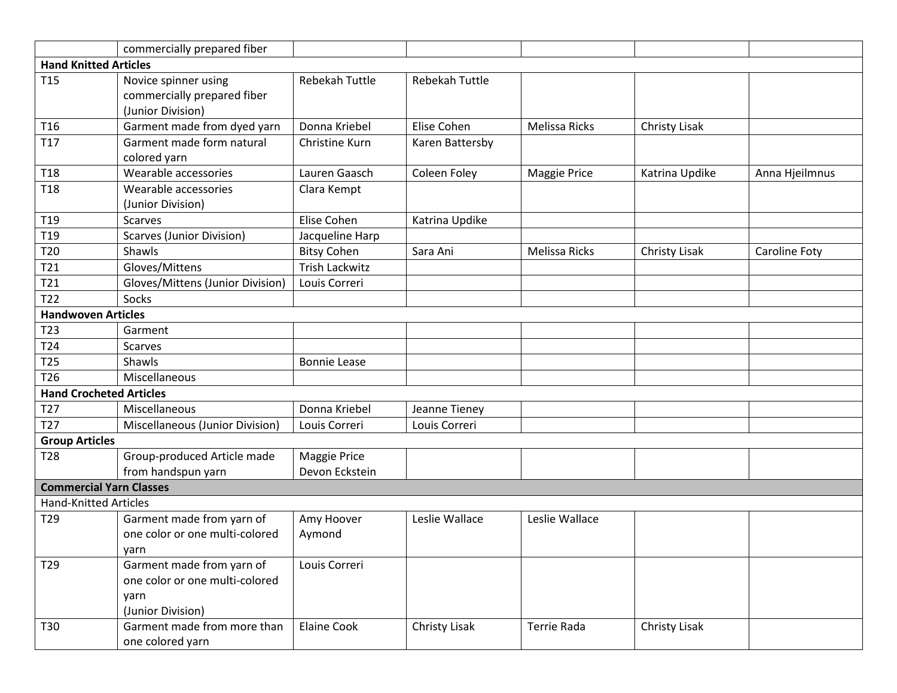|                                  | commercially prepared fiber                     |                                       |                       |                      |                      |                |  |
|----------------------------------|-------------------------------------------------|---------------------------------------|-----------------------|----------------------|----------------------|----------------|--|
| <b>Hand Knitted Articles</b>     |                                                 |                                       |                       |                      |                      |                |  |
| T <sub>15</sub>                  | Novice spinner using                            | <b>Rebekah Tuttle</b>                 | <b>Rebekah Tuttle</b> |                      |                      |                |  |
|                                  | commercially prepared fiber                     |                                       |                       |                      |                      |                |  |
|                                  | (Junior Division)                               |                                       |                       |                      |                      |                |  |
| T <sub>16</sub>                  | Garment made from dyed yarn                     | Donna Kriebel                         | Elise Cohen           | <b>Melissa Ricks</b> | <b>Christy Lisak</b> |                |  |
| T17                              | Garment made form natural                       | Christine Kurn                        | Karen Battersby       |                      |                      |                |  |
|                                  | colored yarn<br>Wearable accessories            | Lauren Gaasch                         |                       |                      |                      |                |  |
| <b>T18</b>                       |                                                 |                                       | Coleen Foley          | <b>Maggie Price</b>  | Katrina Updike       | Anna Hjeilmnus |  |
| T <sub>18</sub>                  | Wearable accessories                            | Clara Kempt                           |                       |                      |                      |                |  |
| T <sub>19</sub>                  | (Junior Division)<br><b>Scarves</b>             | Elise Cohen                           |                       |                      |                      |                |  |
| T19                              |                                                 |                                       | Katrina Updike        |                      |                      |                |  |
| T20                              | <b>Scarves (Junior Division)</b><br>Shawls      | Jacqueline Harp<br><b>Bitsy Cohen</b> | Sara Ani              | <b>Melissa Ricks</b> | Christy Lisak        |                |  |
| T21                              | Gloves/Mittens                                  | <b>Trish Lackwitz</b>                 |                       |                      |                      | Caroline Foty  |  |
|                                  | Gloves/Mittens (Junior Division)                |                                       |                       |                      |                      |                |  |
| T21                              |                                                 | Louis Correri                         |                       |                      |                      |                |  |
| T22<br><b>Handwoven Articles</b> | Socks                                           |                                       |                       |                      |                      |                |  |
|                                  |                                                 |                                       |                       |                      |                      |                |  |
| T <sub>23</sub>                  | Garment                                         |                                       |                       |                      |                      |                |  |
| T24                              | <b>Scarves</b>                                  |                                       |                       |                      |                      |                |  |
| T <sub>25</sub>                  | Shawls                                          | <b>Bonnie Lease</b>                   |                       |                      |                      |                |  |
| T26                              | Miscellaneous                                   |                                       |                       |                      |                      |                |  |
| <b>Hand Crocheted Articles</b>   |                                                 |                                       |                       |                      |                      |                |  |
| T <sub>27</sub>                  | Miscellaneous                                   | Donna Kriebel                         | Jeanne Tieney         |                      |                      |                |  |
| T <sub>27</sub>                  | Miscellaneous (Junior Division)                 | Louis Correri                         | Louis Correri         |                      |                      |                |  |
| <b>Group Articles</b>            |                                                 |                                       |                       |                      |                      |                |  |
| T <sub>28</sub>                  | Group-produced Article made                     | Maggie Price                          |                       |                      |                      |                |  |
|                                  | from handspun yarn                              | Devon Eckstein                        |                       |                      |                      |                |  |
| <b>Commercial Yarn Classes</b>   |                                                 |                                       |                       |                      |                      |                |  |
| <b>Hand-Knitted Articles</b>     |                                                 |                                       |                       |                      |                      |                |  |
| T29                              | Garment made from yarn of                       | Amy Hoover                            | Leslie Wallace        | Leslie Wallace       |                      |                |  |
|                                  | one color or one multi-colored                  | Aymond                                |                       |                      |                      |                |  |
|                                  | yarn                                            |                                       |                       |                      |                      |                |  |
| T29                              | Garment made from yarn of                       | Louis Correri                         |                       |                      |                      |                |  |
|                                  | one color or one multi-colored                  |                                       |                       |                      |                      |                |  |
|                                  | yarn                                            |                                       |                       |                      |                      |                |  |
|                                  | (Junior Division)                               |                                       |                       |                      |                      |                |  |
| T30                              | Garment made from more than<br>one colored yarn | <b>Elaine Cook</b>                    | Christy Lisak         | Terrie Rada          | Christy Lisak        |                |  |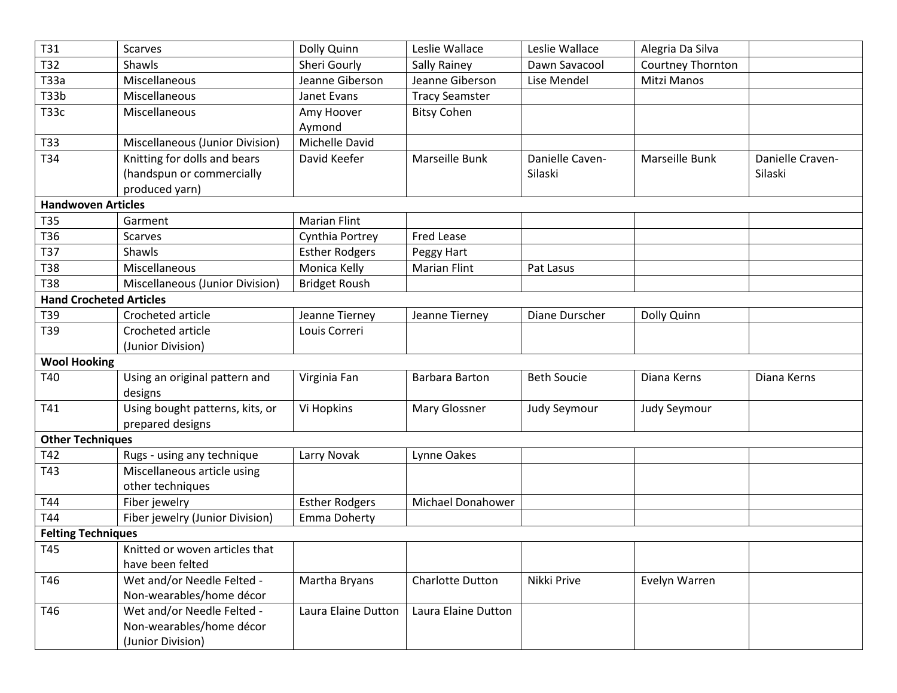| T31                            | Scarves                                | Dolly Quinn           | Leslie Wallace        | Leslie Wallace     | Alegria Da Silva  |                  |
|--------------------------------|----------------------------------------|-----------------------|-----------------------|--------------------|-------------------|------------------|
| T32                            | Shawls                                 | Sheri Gourly          | Sally Rainey          | Dawn Savacool      | Courtney Thornton |                  |
| T33a                           | Miscellaneous                          | Jeanne Giberson       | Jeanne Giberson       | Lise Mendel        | Mitzi Manos       |                  |
| <b>T33b</b>                    | Miscellaneous                          | Janet Evans           | <b>Tracy Seamster</b> |                    |                   |                  |
| <b>T33c</b>                    | Miscellaneous                          | Amy Hoover            | <b>Bitsy Cohen</b>    |                    |                   |                  |
|                                |                                        | Aymond                |                       |                    |                   |                  |
| T33                            | Miscellaneous (Junior Division)        | Michelle David        |                       |                    |                   |                  |
| T34                            | Knitting for dolls and bears           | David Keefer          | Marseille Bunk        | Danielle Caven-    | Marseille Bunk    | Danielle Craven- |
|                                | (handspun or commercially              |                       |                       | Silaski            |                   | Silaski          |
|                                | produced yarn)                         |                       |                       |                    |                   |                  |
| <b>Handwoven Articles</b>      |                                        |                       |                       |                    |                   |                  |
| <b>T35</b>                     | Garment                                | <b>Marian Flint</b>   |                       |                    |                   |                  |
| T36                            | <b>Scarves</b>                         | Cynthia Portrey       | Fred Lease            |                    |                   |                  |
| <b>T37</b>                     | Shawls                                 | <b>Esther Rodgers</b> | Peggy Hart            |                    |                   |                  |
| <b>T38</b>                     | Miscellaneous                          | Monica Kelly          | <b>Marian Flint</b>   | Pat Lasus          |                   |                  |
| <b>T38</b>                     | <b>Miscellaneous (Junior Division)</b> | <b>Bridget Roush</b>  |                       |                    |                   |                  |
| <b>Hand Crocheted Articles</b> |                                        |                       |                       |                    |                   |                  |
| T39                            | Crocheted article                      | Jeanne Tierney        | Jeanne Tierney        | Diane Durscher     | Dolly Quinn       |                  |
| T39                            | Crocheted article                      | Louis Correri         |                       |                    |                   |                  |
|                                | (Junior Division)                      |                       |                       |                    |                   |                  |
| <b>Wool Hooking</b>            |                                        |                       |                       |                    |                   |                  |
| T40                            | Using an original pattern and          | Virginia Fan          | Barbara Barton        | <b>Beth Soucie</b> | Diana Kerns       | Diana Kerns      |
|                                | designs                                |                       |                       |                    |                   |                  |
| T41                            | Using bought patterns, kits, or        | Vi Hopkins            | Mary Glossner         | Judy Seymour       | Judy Seymour      |                  |
|                                | prepared designs                       |                       |                       |                    |                   |                  |
| <b>Other Techniques</b>        |                                        |                       |                       |                    |                   |                  |
| T42                            | Rugs - using any technique             | Larry Novak           | Lynne Oakes           |                    |                   |                  |
| T43                            | Miscellaneous article using            |                       |                       |                    |                   |                  |
|                                | other techniques                       |                       |                       |                    |                   |                  |
| T44                            | Fiber jewelry                          | <b>Esther Rodgers</b> | Michael Donahower     |                    |                   |                  |
| T44                            | Fiber jewelry (Junior Division)        | Emma Doherty          |                       |                    |                   |                  |
| <b>Felting Techniques</b>      |                                        |                       |                       |                    |                   |                  |
| T45                            | Knitted or woven articles that         |                       |                       |                    |                   |                  |
|                                | have been felted                       |                       |                       |                    |                   |                  |
| T46                            | Wet and/or Needle Felted -             | Martha Bryans         | Charlotte Dutton      | Nikki Prive        | Evelyn Warren     |                  |
|                                | Non-wearables/home décor               |                       |                       |                    |                   |                  |
| T46                            | Wet and/or Needle Felted -             | Laura Elaine Dutton   | Laura Elaine Dutton   |                    |                   |                  |
|                                | Non-wearables/home décor               |                       |                       |                    |                   |                  |
|                                | (Junior Division)                      |                       |                       |                    |                   |                  |